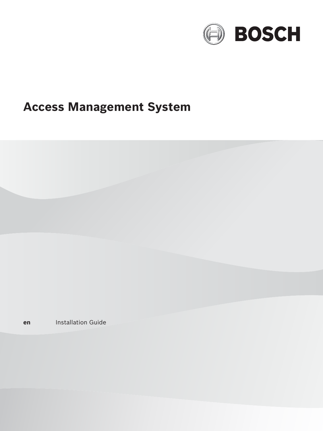

# **Access Management System**

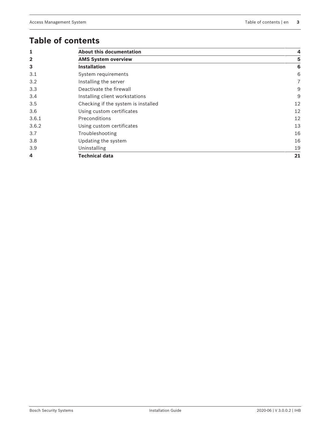# **Table of contents**

| 1              | <b>About this documentation</b>     |                |
|----------------|-------------------------------------|----------------|
| $\overline{2}$ | <b>AMS System overview</b>          | 5              |
| 3              | <b>Installation</b>                 | 6              |
| 3.1            | System requirements                 | 6              |
| 3.2            | Installing the server               | $\overline{7}$ |
| 3.3            | Deactivate the firewall             | 9              |
| 3.4            | Installing client workstations      | 9              |
| 3.5            | Checking if the system is installed | 12             |
| 3.6            | Using custom certificates           | 12             |
| 3.6.1          | Preconditions                       | 12             |
| 3.6.2          | Using custom certificates           | 13             |
| 3.7            | Troubleshooting                     | 16             |
| 3.8            | Updating the system                 | 16             |
| 3.9            | Uninstalling                        | 19             |
| 4              | <b>Technical data</b>               | 21             |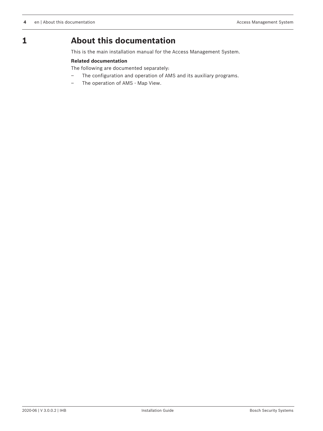# **1 About this documentation**

This is the main installation manual for the Access Management System.

#### **Related documentation**

The following are documented separately:

- The configuration and operation of AMS and its auxiliary programs.
- The operation of AMS Map View.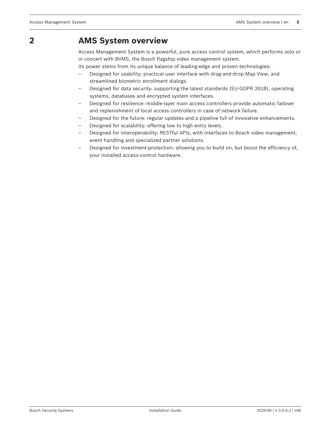# **2 AMS System overview**

Access Management System is a powerful, pure access control system, which performs solo or in concert with BVMS, the Bosch flagship video management system.

Its power stems from its unique balance of leading-edge and proven technologies:

- Designed for usability: practical user interface with drag-and-drop Map View, and streamlined biometric enrollment dialogs.
- Designed for data security: supporting the latest standards (EU-GDPR 2018), operating systems, databases and encrypted system interfaces.
- Designed for resilience: middle-layer main access controllers provide automatic failover and replenishment of local access controllers in case of network failure.
- Designed for the future: regular updates and a pipeline full of innovative enhancements.
- Designed for scalability: offering low to high entry levels.
- Designed for interoperability: RESTful APIs, with interfaces to Bosch video management, event handling and specialized partner solutions.
- Designed for investment-protection: allowing you to build on, but boost the efficiency of, your installed access-control hardware.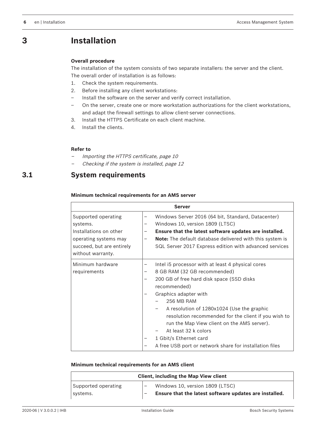# **3 Installation**

#### **Overall procedure**

The installation of the system consists of two separate installers: the server and the client. The overall order of installation is as follows:

- 1. Check the system requirements.
- 2. Before installing any client workstations:
- Install the software on the server and verify correct installation.
- On the server, create one or more workstation authorizations for the client workstations, and adapt the firewall settings to allow client-server connections.
- 3. Install the HTTPS Certificate on each client machine.
- 4. Install the clients.

#### **Refer to**

- $\mathcal{L}_{\mathcal{A}}$ Importing the HTTPS certificate, page 10
- Checking if the system is installed, page 12

# **3.1 System requirements**

#### **Minimum technical requirements for an AMS server**

| Server                                                                                                                               |             |                                                                                                                                                                                                                                                                                                                                                                                                                                                         |  |
|--------------------------------------------------------------------------------------------------------------------------------------|-------------|---------------------------------------------------------------------------------------------------------------------------------------------------------------------------------------------------------------------------------------------------------------------------------------------------------------------------------------------------------------------------------------------------------------------------------------------------------|--|
| Supported operating<br>systems.<br>Installations on other<br>operating systems may<br>succeed, but are entirely<br>without warranty. | -<br>-<br>— | Windows Server 2016 (64 bit, Standard, Datacenter)<br>Windows 10, version 1809 (LTSC)<br>Ensure that the latest software updates are installed.<br><b>Note:</b> The default database delivered with this system is<br>SQL Server 2017 Express edition with advanced services                                                                                                                                                                            |  |
| Minimum hardware<br>requirements                                                                                                     | —<br>-      | Intel i5 processor with at least 4 physical cores<br>8 GB RAM (32 GB recommended)<br>200 GB of free hard disk space (SSD disks<br>recommended)<br>Graphics adapter with<br>256 MB RAM<br>A resolution of 1280x1024 (Use the graphic<br>resolution recommended for the client if you wish to<br>run the Map View client on the AMS server).<br>At least 32 k colors<br>1 Gbit/s Ethernet card<br>A free USB port or network share for installation files |  |

#### **Minimum technical requirements for an AMS client**

| <b>Client, including the Map View client</b> |  |                                                                                           |
|----------------------------------------------|--|-------------------------------------------------------------------------------------------|
| Supported operating<br>systems.              |  | Windows 10, version 1809 (LTSC)<br>Ensure that the latest software updates are installed. |
|                                              |  |                                                                                           |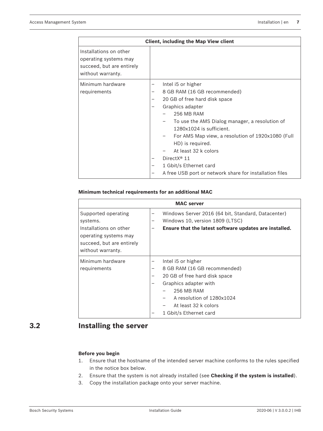| <b>Client, including the Map View client</b>                                                      |                                                                                                                                                                                                                                                                                                                                                                                                                                              |  |  |
|---------------------------------------------------------------------------------------------------|----------------------------------------------------------------------------------------------------------------------------------------------------------------------------------------------------------------------------------------------------------------------------------------------------------------------------------------------------------------------------------------------------------------------------------------------|--|--|
| Installations on other<br>operating systems may<br>succeed, but are entirely<br>without warranty. |                                                                                                                                                                                                                                                                                                                                                                                                                                              |  |  |
| Minimum hardware<br>requirements                                                                  | Intel i5 or higher<br>-<br>8 GB RAM (16 GB recommended)<br>-<br>20 GB of free hard disk space<br>-<br>Graphics adapter<br>-<br>256 MB RAM<br>To use the AMS Dialog manager, a resolution of<br>1280x1024 is sufficient.<br>For AMS Map view, a resolution of 1920x1080 (Full<br>HD) is required.<br>At least 32 k colors<br>Direct $X^{\circledast}$ 11<br>1 Gbit/s Ethernet card<br>A free USB port or network share for installation files |  |  |

#### **Minimum technical requirements for an additional MAC**

| <b>MAC</b> server                                                                                                                    |                                                                                                                                                                                                                |  |  |  |
|--------------------------------------------------------------------------------------------------------------------------------------|----------------------------------------------------------------------------------------------------------------------------------------------------------------------------------------------------------------|--|--|--|
| Supported operating<br>systems.<br>Installations on other<br>operating systems may<br>succeed, but are entirely<br>without warranty. | Windows Server 2016 (64 bit, Standard, Datacenter)<br>Windows 10, version 1809 (LTSC)<br>-<br>Ensure that the latest software updates are installed.                                                           |  |  |  |
| Minimum hardware<br>requirements                                                                                                     | Intel i5 or higher<br>8 GB RAM (16 GB recommended)<br>-<br>20 GB of free hard disk space<br>Graphics adapter with<br>256 MB RAM<br>A resolution of 1280x1024<br>At least 32 k colors<br>1 Gbit/s Ethernet card |  |  |  |

# **3.2 Installing the server**

#### **Before you begin**

- 1. Ensure that the hostname of the intended server machine conforms to the rules specified in the notice box below.
- 2. Ensure that the system is not already installed (see **Checking if the system is installed**).
- 3. Copy the installation package onto your server machine.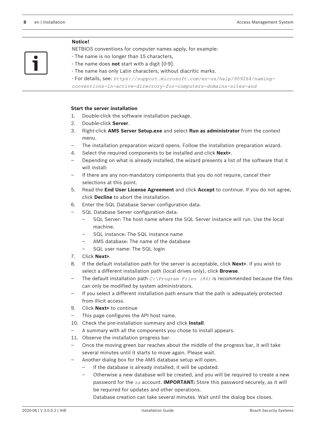#### **Notice!**

NETBIOS conventions for computer names apply, for example:

- The name is no longer than 15 characters,
- The name does **not** start with a digit [0-9].
- The name has only Latin characters, without diacritic marks.
- For details, see: *https://support.microsoft.com/en-us/help/909264/naming-*

*conventions-in-active-directory-for-computers-domains-sites-and*

#### **Start the server installation**

- 1. Double-click the software installation package.
- 2. Double-click **Server**.
- 3. Right-click **AMS Server Setup.exe** and select **Run as administrator** from the context menu.
- The installation preparation wizard opens. Follow the installation preparation wizard.
- 4. Select the required components to be installed and click **Next>**.
- Depending on what is already installed, the wizard presents a list of the software that it will install:
- If there are any non-mandatory components that you do not require, cancel their selections at this point.
- 5. Read the **End User License Agreement** and click **Accept** to continue. If you do not agree, click **Decline** to abort the installation.
- 6. Enter the SQL Database Server configuration data.
- SQL Database Server configuration data:
	- SQL Server: The host name where the SQL Server instance will run. Use the local machine.
	- SQL instance: The SQL instance name
	- AMS database: The name of the database
	- SQL user name: The SQL login
- 7. Click **Next>**.
- 8. If the default installation path for the server is acceptable, click **Next>**. If you wish to select a different installation path (local drives only), click **Browse**.
- The default installation path  $C:$  \Program Files (86) is recommended because the files can only be modified by system administrators.
- If you select a different installation path ensure that the path is adequately protected from illicit access.
- 9. Click **Next>** to continue
- This page configures the API host name.
- 10. Check the pre-installation summary and click **Install**.
- A summary with all the components you chose to install appears.
- 11. Observe the installation progress bar.
- Once the moving green bar reaches about the middle of the progress bar, it will take several minutes until it starts to move again. Please wait.
- Another dialog box for the AMS database setup will open.
	- If the database is already installed, it will be updated.
	- Otherwise a new database will be created, and you will be required to create a new password for the *sa* account. **IMPORTANT:** Store this password securely, as it will be required for updates and other operations.

Database creation can take several minutes. Wait until the dialog box closes.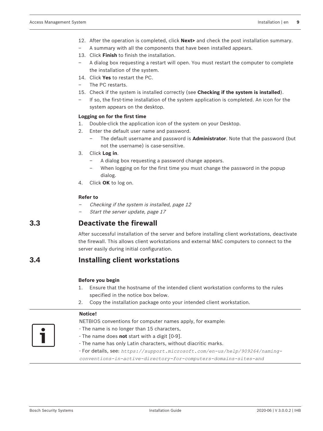- 12. After the operation is completed, click **Next>** and check the post installation summary.
- A summary with all the components that have been installed appears.
- 13. Click **Finish** to finish the installation.
- A dialog box requesting a restart will open. You must restart the computer to complete the installation of the system.
- 14. Click **Yes** to restart the PC.
- The PC restarts.
- 15. Check if the system is installed correctly (see **Checking if the system is installed**).
- If so, the first-time installation of the system application is completed. An icon for the system appears on the desktop.

#### **Logging on for the first time**

- 1. Double-click the application icon of the system on your Desktop.
- 2. Enter the default user name and password.
	- The default username and password is **Administrator**. Note that the password (but not the username) is case-sensitive.
- 3. Click **Log in**.
	- A dialog box requesting a password change appears.
	- When logging on for the first time you must change the password in the popup dialog.
- 4. Click **OK** to log on.

#### **Refer to**

- Checking if the system is installed, page 12
- Start the server update, page 17

# **3.3 Deactivate the firewall**

After successful installation of the server and before installing client workstations, deactivate the firewall. This allows client workstations and external MAC computers to connect to the server easily during initial configuration.

# **3.4 Installing client workstations**

#### **Before you begin**

- 1. Ensure that the hostname of the intended client workstation conforms to the rules specified in the notice box below.
- 2. Copy the installation package onto your intended client workstation.

### **Notice!**

- NETBIOS conventions for computer names apply, for example:
- The name is no longer than 15 characters,
	- The name does **not** start with a digit [0-9].
- The name has only Latin characters, without diacritic marks.
- For details, see: *https://support.microsoft.com/en-us/help/909264/naming-*

*conventions-in-active-directory-for-computers-domains-sites-and*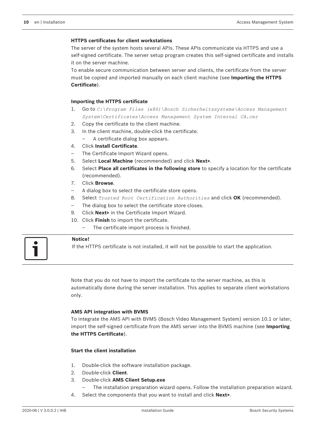#### **HTTPS certificates for client workstations**

The server of the system hosts several APIs. These APIs communicate via HTTPS and use a self-signed certificate. The server setup program creates this self-signed certificate and installs it on the server machine.

To enable secure communication between server and clients, the certificate from the server must be copied and imported manually on each client machine (see **Importing the HTTPS Certificate**).

#### **Importing the HTTPS certificate**

- 1. Go to *C:\Program Files (x86)\Bosch Sicherheitssysteme\Access Management System\Certificates\Access Management System Internal CA.cer*
- 2. Copy the certificate to the client machine.
- 3. In the client machine, double-click the certificate.
	- A certificate dialog box appears.
- 4. Click **Install Certificate**.
- The Certificate Import Wizard opens.
- 5. Select **Local Machine** (recommended) and click **Next>**.
- 6. Select **Place all certificates in the following store** to specify a location for the certificate (recommended).
- 7. Click **Browse**.
- A dialog box to select the certificate store opens.
- 8. Select *Trusted Root Certification Authorities* and click **OK** (recommended).
- The dialog box to select the certificate store closes.
- 9. Click **Next>** in the Certificate Import Wizard.
- 10. Click **Finish** to import the certificate.
	- The certificate import process is finished.

#### **Notice!**

If the HTTPS certificate is not installed, it will not be possible to start the application.

Note that you do not have to import the certificate to the server machine, as this is automatically done during the server installation. This applies to separate client workstations only.

#### **AMS API integration with BVMS**

To integrate the AMS API with BVMS (Bosch Video Management System) version 10.1 or later, import the self-signed certificate from the AMS server into the BVMS machine (see **Importing the HTTPS Certificate**).

#### **Start the client installation**

- 1. Double-click the software installation package.
- 2. Double-click **Client**.
- 3. Double-click **AMS Client Setup.exe**
	- The installation preparation wizard opens. Follow the installation preparation wizard.
- 4. Select the components that you want to install and click **Next>**.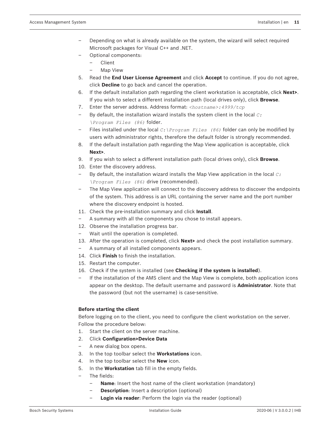- Depending on what is already available on the system, the wizard will select required Microsoft packages for Visual C++ and .NET.
- Optional components:
	- Client
	- Map View
- 5. Read the **End User License Agreement** and click **Accept** to continue. If you do not agree, click **Decline** to go back and cancel the operation.
- 6. If the default installation path regarding the client workstation is acceptable, click **Next>**. If you wish to select a different installation path (local drives only), click **Browse**.
- 7. Enter the server address. Address format: *<hostname>:4999/tcp*
- By default, the installation wizard installs the system client in the local *C: \Program Files (86)* folder.
- Files installed under the local *C:\Program Files (86)* folder can only be modified by users with administrator rights, therefore the default folder is strongly recommended.
- 8. If the default installation path regarding the Map View application is acceptable, click **Next>**.
- 9. If you wish to select a different installation path (local drives only), click **Browse**.
- 10. Enter the discovery address.
- By default, the installation wizard installs the Map View application in the local *C: \Program Files (86)* drive (recommended).
- The Map View application will connect to the discovery address to discover the endpoints of the system. This address is an URL containing the server name and the port number where the discovery endpoint is hosted.
- 11. Check the pre-installation summary and click **Install**.
- A summary with all the components you chose to install appears.
- 12. Observe the installation progress bar.
- Wait until the operation is completed.
- 13. After the operation is completed, click **Next>** and check the post installation summary.
- A summary of all installed components appears.
- 14. Click **Finish** to finish the installation.
- 15. Restart the computer.
- 16. Check if the system is installed (see **Checking if the system is installed**).
- If the installation of the AMS client and the Map View is complete, both application icons appear on the desktop. The default username and password is **Administrator**. Note that the password (but not the username) is case-sensitive.

### **Before starting the client**

Before logging on to the client, you need to configure the client workstation on the server. Follow the procedure below:

- 1. Start the client on the server machine.
- 2. Click **Configuration>Device Data**
- A new dialog box opens.
- 3. In the top toolbar select the **Workstations** icon.
- 4. In the top toolbar select the **New** icon.
- 5. In the **Workstation** tab fill in the empty fields.
- The fields:
	- **Name**: Insert the host name of the client workstation (mandatory)
	- **Description**: Insert a description (optional)
	- **Login via reader:** Perform the login via the reader (optional)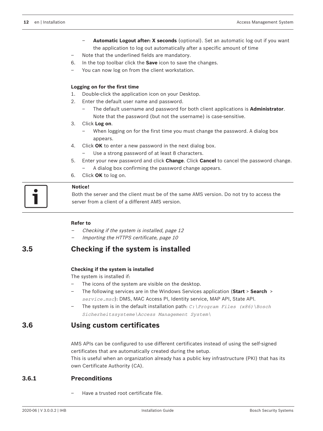- **Automatic Logout after: X seconds** (optional). Set an automatic log out if you want the application to log out automatically after a specific amount of time
- Note that the underlined fields are mandatory.
- 6. In the top toolbar click the **Save** icon to save the changes.
- You can now log on from the client workstation.

#### **Logging on for the first time**

- 1. Double-click the application icon on your Desktop.
- 2. Enter the default user name and password.
	- The default username and password for both client applications is **Administrator**. Note that the password (but not the username) is case-sensitive.
- 3. Click **Log on**.
	- When logging on for the first time you must change the password. A dialog box appears.
- 4. Click **OK** to enter a new password in the next dialog box.
	- Use a strong password of at least 8 characters.
- 5. Enter your new password and click **Change**. Click **Cancel** to cancel the password change. – A dialog box confirming the password change appears.
- 6. Click **OK** to log on.



#### **Notice!**

Both the server and the client must be of the same AMS version. Do not try to access the server from a client of a different AMS version.

#### **Refer to**

- Checking if the system is installed, page 12
- Importing the HTTPS certificate, page 10

# **3.5 Checking if the system is installed**

#### **Checking if the system is installed**

The system is installed if:

- The icons of the system are visible on the desktop.
- The following services are in the Windows Services application (**Start** > **Search** > *service.msc*): DMS, MAC Access PI, Identity service, MAP API, State API.
- The system is in the default installation path: *C:\Program Files (x86)\Bosch Sicherheitssysteme\Access Management System\*

### **3.6 Using custom certificates**

AMS APIs can be configured to use different certificates instead of using the self-signed certificates that are automatically created during the setup.

This is useful when an organization already has a public key infrastructure (PKI) that has its own Certificate Authority (CA).

#### **3.6.1 Preconditions**

– Have a trusted root certificate file.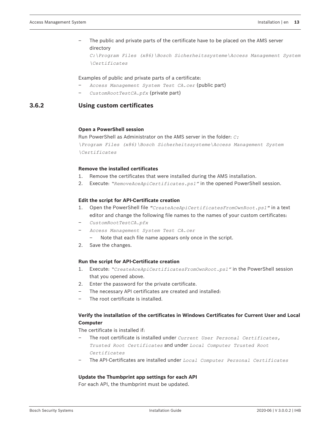### – The public and private parts of the certificate have to be placed on the AMS server directory

*C:\Program Files (x86)\Bosch Sicherheitssysteme\Access Management System \Certificates*

#### Examples of public and private parts of a certificate:

- *Access Management System Test CA.cer* (public part)
- *CustomRootTestCA.pfx* (private part)

#### **3.6.2 Using custom certificates**

#### **Open a PowerShell session**

Run PowerShell as Administrator on the AMS server in the folder: *C: \Program Files (x86)\Bosch Sicherheitssysteme\Access Management System \Certificates*

#### **Remove the installed certificates**

- 1. Remove the certificates that were installed during the AMS installation.
- 2. Execute: *"RemoveAceApiCertificates.ps1"* in the opened PowerShell session.

#### **Edit the script for API-Certificate creation**

- 1. Open the PowerShell file *"CreateAceApiCertificatesFromOwnRoot.ps1"* in a text editor and change the following file names to the names of your custom certificates:
- *CustomRootTestCA.pfx*
- *Access Management System Test CA.cer*
	- Note that each file name appears only once in the script.
- 2. Save the changes.

#### **Run the script for API-Certificate creation**

- 1. Execute: *"CreateAceApiCertificatesFromOwnRoot.ps1"* in the PowerShell session that you opened above.
- 2. Enter the password for the private certificate.
- The necessary API certificates are created and installed:
- The root certificate is installed.

#### **Verify the installation of the certificates in Windows Certificates for Current User and Local Computer**

The certificate is installed if:

- The root certificate is installed under *Current User Personal Certificates, Trusted Root Certificates* and under *Local Computer Trusted Root Certificates*
- The API-Certificates are installed under *Local Computer Personal Certificates*

#### **Update the Thumbprint app settings for each API**

For each API, the thumbprint must be updated.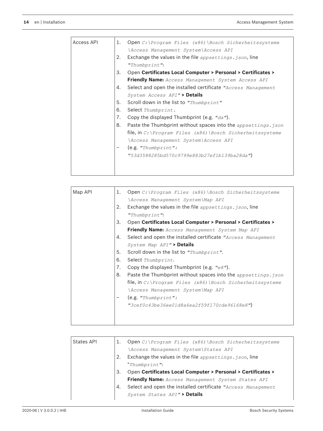| Access API | 1. | Open C: \Program Files (x86) \Bosch Sicherheitssysteme                       |
|------------|----|------------------------------------------------------------------------------|
|            |    | \Access Management System\Access API                                         |
|            | 2. | Exchange the values in the file appsettings. ison, line                      |
|            |    | "Thumbprint":                                                                |
|            | 3. | <b>Open Certificates Local Computer &gt; Personal &gt; Certificates &gt;</b> |
|            |    | Friendly Name: Access Management System Access API                           |
|            | 4. | Select and open the installed certificate "Access Management"                |
|            |    | System Access API"> Details                                                  |
|            | 5. | Scroll down in the list to "Thumbprint"                                      |
|            | 6. | Select Thumbprint.                                                           |
|            | 7. | Copy the displayed Thumbprint (e.g. $"da"$ ).                                |
|            | 8. | Paste the Thumbprint without spaces into the appsettings. json               |
|            |    | file, in C: \Program Files $(x86)$ \Bosch Sicherheitssysteme                 |
|            |    | \Access Management System\Access API                                         |
|            |    | (e.g. "Thumbprint":                                                          |
|            |    | "53d3588285bd570c9799e883b27ef1b139ba28da")                                  |
|            |    |                                                                              |
|            |    |                                                                              |

| Map API | 1. | Open $C:$ Program Files (x86) Bosch Sicherheitssysteme                       |
|---------|----|------------------------------------------------------------------------------|
|         |    | \Access Management System\Map API                                            |
|         | 2. | Exchange the values in the file appsettings. ison, line                      |
|         |    | "Thumbprint":                                                                |
|         | 3. | <b>Open Certificates Local Computer &gt; Personal &gt; Certificates &gt;</b> |
|         |    | <b>Friendly Name:</b> Access Management System Map API                       |
|         | 4. | Select and open the installed certificate "Access Management"                |
|         |    | System Map API"> Details                                                     |
|         | 5. | Scroll down in the list to "Thumbprint".                                     |
|         | 6. | Select Thumbprint.                                                           |
|         | 7. | Copy the displayed Thumbprint (e.g. $"e8"$ ).                                |
|         | 8. | Paste the Thumbprint without spaces into the appsettings. json               |
|         |    | file, in C:\Program Files (x86)\Bosch Sicherheitssysteme                     |
|         |    | \Access Management System\Map API                                            |
|         |    | (e.g. "Thumbprint":                                                          |
|         |    | "3cef0c43be36ee01d8a6ea2f59f170cde96168e8")                                  |
|         |    |                                                                              |
|         |    |                                                                              |

| States API |    | Open C: \Program Files (x86) \Bosch Sicherheitssysteme       |
|------------|----|--------------------------------------------------------------|
|            |    | \Access Management System\States API                         |
|            |    | Exchange the values in the file appsettings. json, line      |
|            |    | "Thumbprint":                                                |
|            | 3. | Open Certificates Local Computer > Personal > Certificates > |
|            |    | Friendly Name: Access Management System States API           |
|            | 4. | Select and open the installed certificate "Access Management |
|            |    | System States API"> Details                                  |
|            |    |                                                              |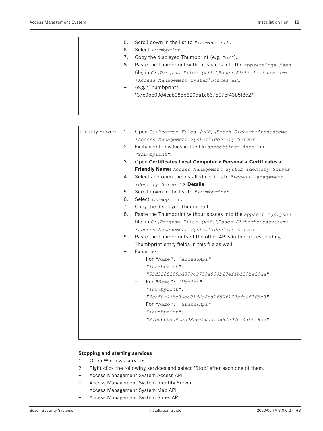| 5. | Scroll down in the list to "Thumbprint".                       |
|----|----------------------------------------------------------------|
|    |                                                                |
| 6. | Select Thumbprint.                                             |
| 7. | Copy the displayed Thumbprint (e.g. $"e2"$ ).                  |
| 8. | Paste the Thumbprint without spaces into the appsettings. json |
|    | file, in C: \Program Files $(x86)$ \Bosch Sicherheitssysteme   |
|    | \Access Management System\States API                           |
|    | (e.g. "Thumbprint":                                            |
|    | "37c0bb09d4cab985b620da1c667597ef43b5f8e2"                     |
|    |                                                                |
|    |                                                                |
|    |                                                                |

| Identity Server: | 1.                | Open $C:$ Program Files (x86) Bosch Sicherheitssysteme         |
|------------------|-------------------|----------------------------------------------------------------|
|                  |                   | \Access Management System\Identity Server                      |
|                  | 2.                | Exchange the values in the file $_{appsettings. json,}$ line   |
|                  |                   | "Thumbprint":                                                  |
|                  | 3.                | Open Certificates Local Computer > Personal > Certificates >   |
|                  |                   | Friendly Name: Access Management System Identity Server        |
|                  | 4.                | Select and open the installed certificate "Access Management"  |
|                  |                   | Identity Server"> Details                                      |
|                  | 5.                | Scroll down in the list to "Thumbprint".                       |
|                  | 6.                | Select Thumbprint.                                             |
|                  | 7.                | Copy the displayed Thumbprint.                                 |
|                  | 8.                | Paste the Thumbprint without spaces into the appsettings. json |
|                  |                   | file, in C: \Program Files (x86) \Bosch Sicherheitssysteme     |
|                  |                   | \Access Management System\Identity Server                      |
|                  | 9.                | Paste the Thumbprints of the other API's in the corresponding  |
|                  |                   | Thumbprint entry fields in this file as well.                  |
|                  | $\qquad \qquad -$ | Example:                                                       |
|                  |                   | For "Name": "AccessApi"                                        |
|                  |                   | "Thumbprint":                                                  |
|                  |                   | "53d3588285bd570c9799e883b27ef1b139ba28da"                     |
|                  |                   | For "Name": "MapApi"                                           |
|                  |                   | "Thumbprint":                                                  |
|                  |                   | "3cef0c43be36ee01d8a6ea2f59f170cde96168e8"                     |
|                  |                   | For "Name": "StatesApi"                                        |
|                  |                   | "Thumbprint":                                                  |
|                  |                   | "37c0bb09d4cab985b620da1c667597ef43b5f8e2"                     |
|                  |                   |                                                                |
|                  |                   |                                                                |
|                  |                   |                                                                |

#### **Stopping and starting services**

- 1. Open Windows services.
- 2. Right-click the following services and select "Stop" after each one of them:
- Access Management System Access API
- Access Management System Identity Server
- Access Management System Map API
- Access Management System Sates API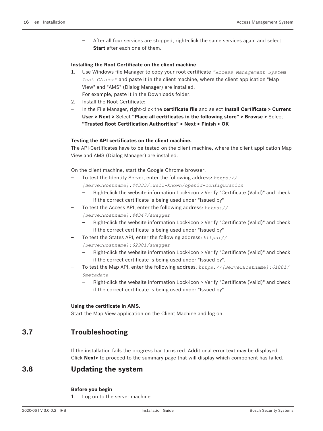– After all four services are stopped, right-click the same services again and select **Start** after each one of them.

#### **Installing the Root Certificate on the client machine**

- 1. Use Windows file Manager to copy your root certificate *"Access Management System Test CA.cer"* and paste it in the client machine, where the client application "Map View" and "AMS" (Dialog Manager) are installed. For example, paste it in the Downloads folder.
- 2. Install the Root Certificate:
- In the File Manager, right-click the **certificate file** and select **Install Certificate > Current User > Next >** Select **"Place all certificates in the following store" > Browse >** Select **"Trusted Root Certification Authorities" > Next > Finish > OK**

#### **Testing the API certificates on the client machine.**

The API-Certificates have to be tested on the client machine, where the client application Map View and AMS (Dialog Manager) are installed.

On the client machine, start the Google Chrome browser.

– To test the Identity Server, enter the following address: *https://*

*[ServerHostname]:44333/.well-known/openid-configuration*

- Right-click the website information Lock-icon > Verify "Certificate (Valid)" and check if the correct certificate is being used under "Issued by"
- To test the Access API, enter the following address: *https://*

*[ServerHostname]:44347/swagger*

- Right-click the website information Lock-icon > Verify "Certificate (Valid)" and check if the correct certificate is being used under "Issued by"
- To test the States API, enter the following address: *https://*

*[ServerHostname]:62901/swagger*

- Right-click the website information Lock-icon > Verify "Certificate (Valid)" and check if the correct certificate is being used under "Issued by".
- To test the Map API, enter the following address: *https://[ServerHostname]:61801/ \$metadata*
	- Right-click the website information Lock-icon > Verify "Certificate (Valid)" and check if the correct certificate is being used under "Issued by"

#### **Using the certificate in AMS.**

Start the Map View application on the Client Machine and log on.

# **3.7 Troubleshooting**

If the installation fails the progress bar turns red. Additional error text may be displayed. Click **Next>** to proceed to the summary page that will display which component has failed.

# **3.8 Updating the system**

#### **Before you begin**

1. Log on to the server machine.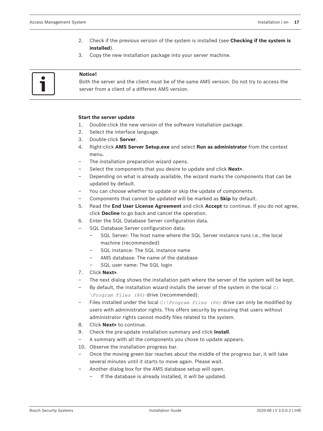- 2. Check if the previous version of the system is installed (see **Checking if the system is installed**).
- 3. Copy the new installation package into your server machine.

#### **Notice!**

Both the server and the client must be of the same AMS version. Do not try to access the server from a client of a different AMS version.

#### **Start the server update**

- 1. Double-click the new version of the software installation package.
- 2. Select the interface language.
- 3. Double-click **Server**.
- 4. Right-click **AMS Server Setup.exe** and select **Run as administrator** from the context menu.
- The installation preparation wizard opens.
- Select the components that you desire to update and click **Next>**.
- Depending on what is already available, the wizard marks the components that can be updated by default.
- You can choose whether to update or skip the update of components.
- Components that cannot be updated will be marked as **Skip** by default.
- 5. Read the **End User License Agreement** and click **Accept** to continue. If you do not agree, click **Decline** to go back and cancel the operation.
- 6. Enter the SQL Database Server configuration data.
- SQL Database Server configuration data:
	- SQL Server: The host name where the SQL Server instance runs i.e., the local machine (recommended)
	- SQL instance: The SQL instance name
	- AMS database: The name of the database
	- SQL user name: The SQL login
- 7. Click **Next>**.
- The next dialog shows the installation path where the server of the system will be kept.
- By default, the installation wizard installs the server of the system in the local *C: \Program Files (86)* drive (recommended).
- Files installed under the local *C:\Program Files (86)* drive can only be modified by users with administrator rights. This offers security by ensuring that users without administrator rights cannot modify files related to the system.
- 8. Click **Next>** to continue.
- 9. Check the pre-update installation summary and click **Install**.
- A summary with all the components you chose to update appears.
- 10. Observe the installation progress bar.
- Once the moving green bar reaches about the middle of the progress bar, it will take several minutes until it starts to move again. Please wait.
- Another dialog box for the AMS database setup will open.
	- If the database is already installed, it will be updated.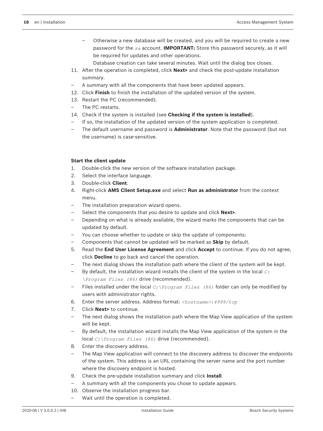- Otherwise a new database will be created, and you will be required to create a new password for the *sa* account. **IMPORTANT:** Store this password securely, as it will be required for updates and other operations.
	- Database creation can take several minutes. Wait until the dialog box closes.
- 11. After the operation is completed, click **Next>** and check the post-update installation summary.
- A summary with all the components that have been updated appears.
- 12. Click **Finish** to finish the installation of the updated version of the system.
- 13. Restart the PC (recommended).
- The PC restarts.
- 14. Check if the system is installed (see **Checking if the system is installed**).
- If so, the installation of the updated version of the system application is completed.
- The default username and password is **Administrator**. Note that the password (but not the username) is case-sensitive.

#### **Start the client update**

- 1. Double-click the new version of the software installation package.
- 2. Select the interface language.
- 3. Double-click **Client**.
- 4. Right-click **AMS Client Setup.exe** and select **Run as administrator** from the context menu.
- The installation preparation wizard opens.
- Select the components that you desire to update and click **Next>**.
- Depending on what is already available, the wizard marks the components that can be updated by default.
- You can choose whether to update or skip the update of components:
- Components that cannot be updated will be marked as **Skip** by default.
- 5. Read the **End User License Agreement** and click **Accept** to continue. If you do not agree, click **Decline** to go back and cancel the operation.
- The next dialog shows the installation path where the client of the system will be kept.
- By default, the installation wizard installs the client of the system in the local *C: \Program Files (86)* drive (recommended).
- Files installed under the local *C:\Program Files (86)* folder can only be modified by users with administrator rights.
- 6. Enter the server address. Address format: *<hostname>:4999/tcp*
- 7. Click **Next>** to continue.
- The next dialog shows the installation path where the Map View application of the system will be kept.
- By default, the installation wizard installs the Map View application of the system in the local *C:\Program Files (86)* drive (recommended).
- 8. Enter the discovery address.
- The Map View application will connect to the discovery address to discover the endpoints of the system. This address is an URL containing the server name and the port number where the discovery endpoint is hosted.
- 9. Check the pre-update installation summary and click **Install**.
- A summary with all the components you chose to update appears.
- 10. Observe the installation progress bar.
- Wait until the operation is completed.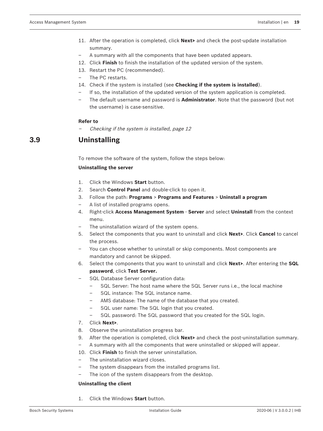- 11. After the operation is completed, click **Next>** and check the post-update installation summary.
- A summary with all the components that have been updated appears.
- 12. Click **Finish** to finish the installation of the updated version of the system.
- 13. Restart the PC (recommended).
- The PC restarts.
- 14. Check if the system is installed (see **Checking if the system is installed**).
- If so, the installation of the updated version of the system application is completed.
- The default username and password is **Administrator**. Note that the password (but not the username) is case-sensitive.

#### **Refer to**

Checking if the system is installed, page 12

# **3.9 Uninstalling**

To remove the software of the system, follow the steps below:

#### **Uninstalling the server**

- 1. Click the Windows **Start** button.
- 2. Search **Control Panel** and double-click to open it.
- 3. Follow the path: **Programs** > **Programs and Features** > **Uninstall a program**
- A list of installed programs opens.
- 4. Right-click **Access Management System** - **Server** and select **Uninstall** from the context menu.
- The uninstallation wizard of the system opens.
- 5. Select the components that you want to uninstall and click **Next>**. Click **Cancel** to cancel the process.
- You can choose whether to uninstall or skip components. Most components are mandatory and cannot be skipped.
- 6. Select the components that you want to uninstall and click **Next>**. After entering the **SQL password**, click **Test Server.**
- SQL Database Server configuration data:
	- SQL Server: The host name where the SQL Server runs i.e., the local machine
		- SQL instance: The SQL instance name.
		- AMS database: The name of the database that you created.
		- SQL user name: The SQL login that you created.
		- SQL password: The SQL password that you created for the SQL login.
- 7. Click **Next>**.
- 8. Observe the uninstallation progress bar.
- 9. After the operation is completed, click **Next>** and check the post-uninstallation summary.
- A summary with all the components that were uninstalled or skipped will appear.
- 10. Click **Finish** to finish the server uninstallation.
- The uninstallation wizard closes.
- The system disappears from the installed programs list.
- The icon of the system disappears from the desktop.

#### **Uninstalling the client**

1. Click the Windows **Start** button.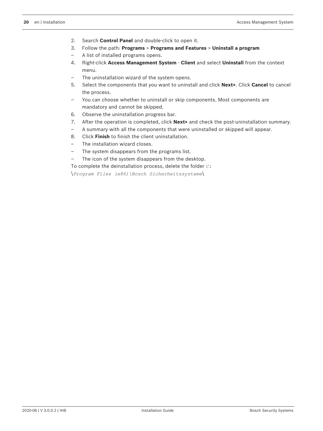- 2. Search **Control Panel** and double-click to open it.
- 3. Follow the path: **Programs** > **Programs and Features** > **Uninstall a program**
- A list of installed programs opens.
- 4. Right-click **Access Management System** - **Client** and select **Uninstall** from the context menu.
- The uninstallation wizard of the system opens.
- 5. Select the components that you want to uninstall and click **Next>**. Click **Cancel** to cancel the process.
- You can choose whether to uninstall or skip components. Most components are mandatory and cannot be skipped.
- 6. Observe the uninstallation progress bar.
- 7. After the operation is completed, click **Next>** and check the post-uninstallation summary.
- A summary with all the components that were uninstalled or skipped will appear.
- 8. Click **Finish** to finish the client uninstallation.
- The installation wizard closes.
- The system disappears from the programs list.
- The icon of the system disappears from the desktop.
- To complete the deinstallation process, delete the folder *C:*

\*Program Files (x86)\Bosch Sicherheitssysteme*\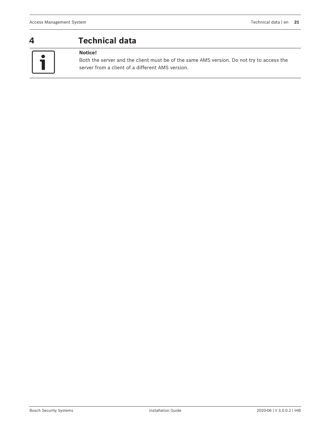$\bullet$ 

# **4 Technical data**

# **Notice!**

Both the server and the client must be of the same AMS version. Do not try to access the server from a client of a different AMS version.